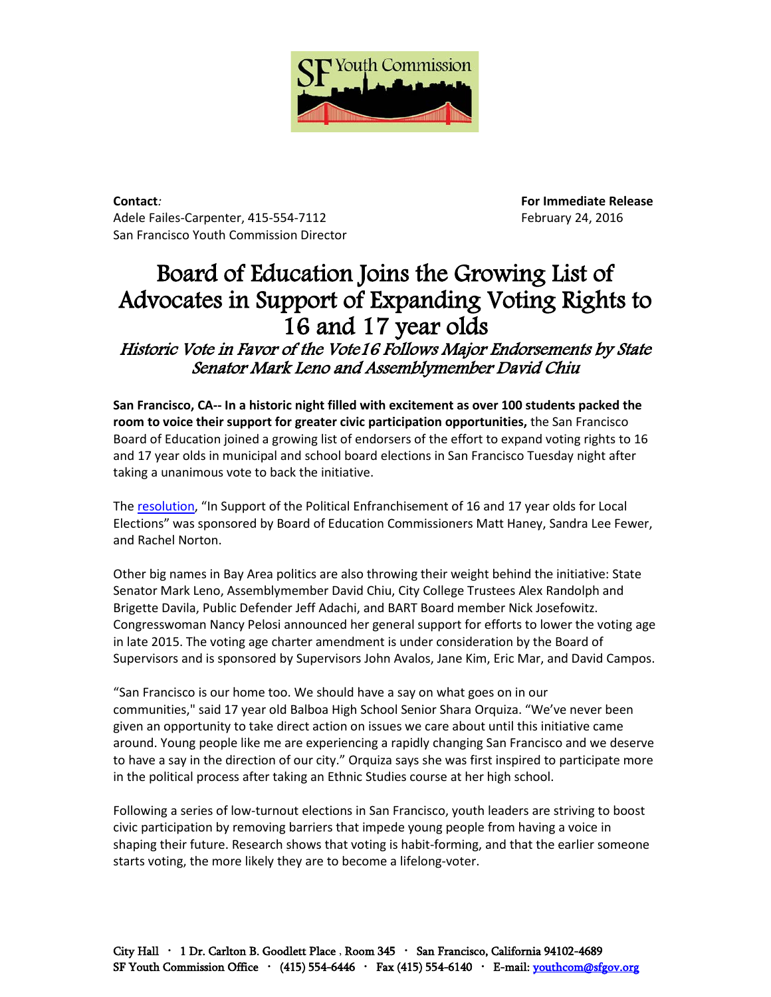

**Contact***:* **For Immediate Release** Adele Failes-Carpenter, 415-554-7112 February 24, 2016 San Francisco Youth Commission Director

## Board of Education Joins the Growing List of Advocates in Support of Expanding Voting Rights to 16 and 17 year olds

Historic Vote in Favor of the Vote16 Follows Major Endorsements by State Senator Mark Leno and Assemblymember David Chiu

**San Francisco, CA‐‐ In a historic night filled with excitement as over 100 students packed the room to voice their support for greater civic participation opportunities,** the San Francisco Board of Education joined a growing list of endorsers of the effort to expand voting rights to 16 and 17 year olds in municipal and school board elections in San Francisco Tuesday night after taking a unanimous vote to back the initiative.

The [resolution,](http://www.sfusd.edu/en/assets/sfusd-staff/about-SFUSD/files/board-agendas/Agenda2232016.pdf) "In Support of the Political Enfranchisement of 16 and 17 year olds for Local Elections" was sponsored by Board of Education Commissioners Matt Haney, Sandra Lee Fewer, and Rachel Norton.

Other big names in Bay Area politics are also throwing their weight behind the initiative: State Senator Mark Leno, Assemblymember David Chiu, City College Trustees Alex Randolph and Brigette Davila, Public Defender Jeff Adachi, and BART Board member Nick Josefowitz. Congresswoman Nancy Pelosi announced her general support for efforts to lower the voting age in late 2015. The voting age charter amendment is under consideration by the Board of Supervisors and is sponsored by Supervisors John Avalos, Jane Kim, Eric Mar, and David Campos.

"San Francisco is our home too. We should have a say on what goes on in our communities," said 17 year old Balboa High School Senior Shara Orquiza. "We've never been given an opportunity to take direct action on issues we care about until this initiative came around. Young people like me are experiencing a rapidly changing San Francisco and we deserve to have a say in the direction of our city." Orquiza says she was first inspired to participate more in the political process after taking an Ethnic Studies course at her high school.

Following a series of low-turnout elections in San Francisco, youth leaders are striving to boost civic participation by removing barriers that impede young people from having a voice in shaping their future. Research shows that voting is habit-forming, and that the earlier someone starts voting, the more likely they are to become a lifelong-voter.